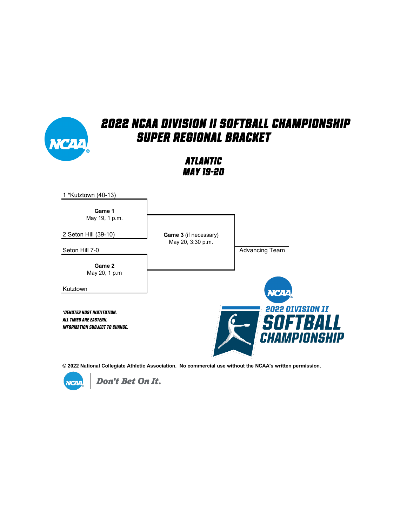

*Atlantic May 19-20*



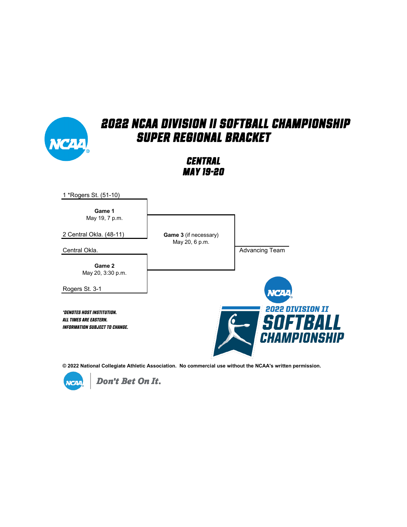

*Central May 19-20*



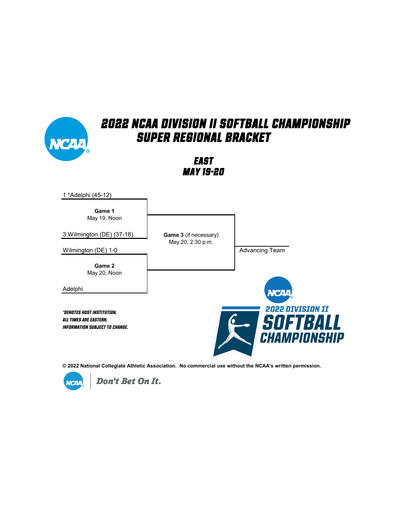#### *2022 NCAA Division II Softball Championship Super Regional Bracket East May 19-20* 1 \*Adelphi (45-12) **Game 1** May 19, Noon 3 Wilmington (DE) (37-18) **Game 3** (if necessary) May 20, 2:30 p.m. Wilmington (DE) 1-0 **Advancing Team Game 2** May 20, NoonAdelphi **VCAA 2022 DIVISION II** *\*Denotes host institution.* SOFTBALL *All times are Eastern. Information subject to change.*

**© 2022 National Collegiate Athletic Association. No commercial use without the NCAA's written permission.** 

CHAMPIONSHIP

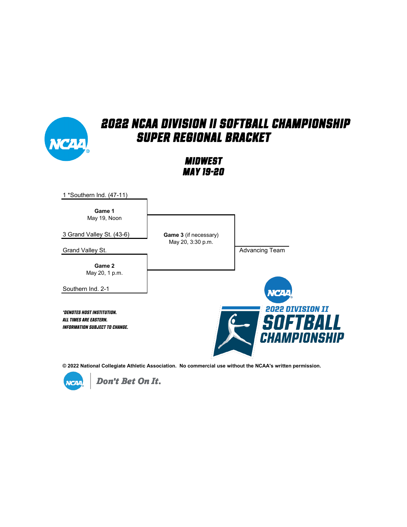

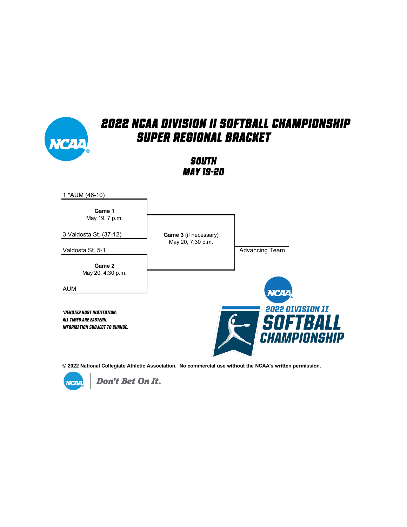

*South May 19-20*



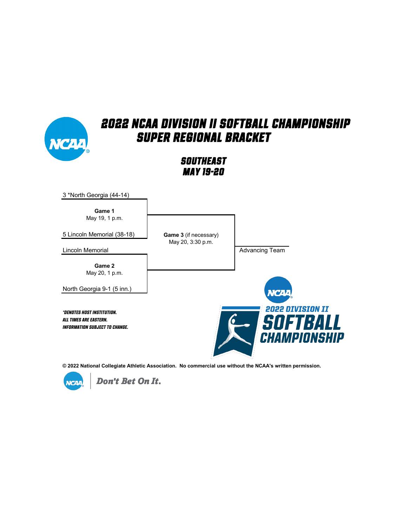

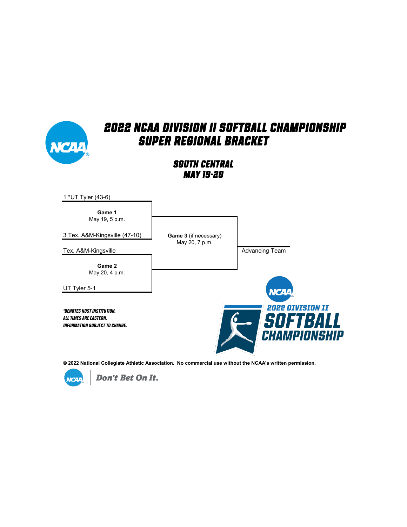

#### *South Central May 19-20*